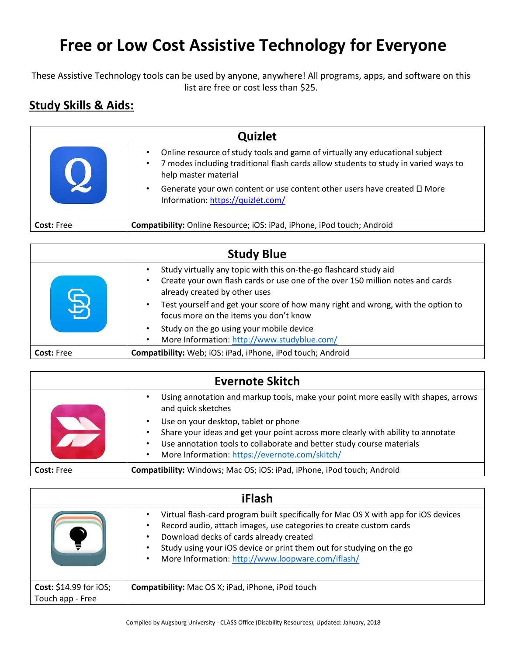## **Free or Low Cost Assistive Technology for Everyone**

These Assistive Technology tools can be used by anyone, anywhere! All programs, apps, and software on this list are free or cost less than \$25.

## **Study Skills & Aids:**

| <b>Quizlet</b>    |                                                                                                                                                                                                                                                                                                                                   |
|-------------------|-----------------------------------------------------------------------------------------------------------------------------------------------------------------------------------------------------------------------------------------------------------------------------------------------------------------------------------|
|                   | Online resource of study tools and game of virtually any educational subject<br>7 modes including traditional flash cards allow students to study in varied ways to<br>$\bullet$<br>help master material<br>Generate your own content or use content other users have created $\square$ More<br>Information: https://quizlet.com/ |
| <b>Cost: Free</b> | Compatibility: Online Resource; iOS: iPad, iPhone, iPod touch; Android                                                                                                                                                                                                                                                            |

| <b>Study Blue</b> |                                                                                                                                                                                      |
|-------------------|--------------------------------------------------------------------------------------------------------------------------------------------------------------------------------------|
|                   | Study virtually any topic with this on-the-go flashcard study aid<br>Create your own flash cards or use one of the over 150 million notes and cards<br>already created by other uses |
|                   | Test yourself and get your score of how many right and wrong, with the option to<br>focus more on the items you don't know                                                           |
|                   | Study on the go using your mobile device<br>More Information: http://www.studyblue.com/<br>$\bullet$                                                                                 |
| <b>Cost: Free</b> | Compatibility: Web; iOS: iPad, iPhone, iPod touch; Android                                                                                                                           |

| <b>Evernote Skitch</b> |                                                                                                                                                                                                                                                                                         |
|------------------------|-----------------------------------------------------------------------------------------------------------------------------------------------------------------------------------------------------------------------------------------------------------------------------------------|
|                        | Using annotation and markup tools, make your point more easily with shapes, arrows<br>and quick sketches                                                                                                                                                                                |
|                        | Use on your desktop, tablet or phone<br>$\bullet$<br>Share your ideas and get your point across more clearly with ability to annotate<br>٠<br>Use annotation tools to collaborate and better study course materials<br>٠<br>More Information: https://evernote.com/skitch/<br>$\bullet$ |
| <b>Cost: Free</b>      | Compatibility: Windows; Mac OS; iOS: iPad, iPhone, iPod touch; Android                                                                                                                                                                                                                  |

| iFlash                                             |                                                                                                                                                                                                                                                                                                                                                                          |
|----------------------------------------------------|--------------------------------------------------------------------------------------------------------------------------------------------------------------------------------------------------------------------------------------------------------------------------------------------------------------------------------------------------------------------------|
|                                                    | Virtual flash-card program built specifically for Mac OS X with app for iOS devices<br>Record audio, attach images, use categories to create custom cards<br>Download decks of cards already created<br>$\bullet$<br>Study using your iOS device or print them out for studying on the go<br>$\bullet$<br>More Information: http://www.loopware.com/iflash/<br>$\bullet$ |
| <b>Cost:</b> $$14.99$ for iOS;<br>Touch app - Free | <b>Compatibility:</b> Mac OS X; iPad, iPhone, iPod touch                                                                                                                                                                                                                                                                                                                 |